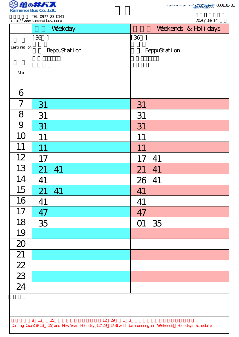

TEL 0977-23-0141

|                 | <b>ILL UTII-23-UI41</b><br>http://www.kanenoi.bus.com/                                             | 2020/03/14                         |
|-----------------|----------------------------------------------------------------------------------------------------|------------------------------------|
|                 | Weekday                                                                                            | Weekends & Hol i days              |
|                 | $[36]$                                                                                             | $\begin{bmatrix} 36 \end{bmatrix}$ |
| Desti nati on   | BeppuStation                                                                                       | BeppuStation                       |
|                 |                                                                                                    |                                    |
| Vi a            |                                                                                                    |                                    |
|                 |                                                                                                    |                                    |
| 6               |                                                                                                    |                                    |
| 7               | 31                                                                                                 | 31                                 |
| 8               | 31                                                                                                 | 31                                 |
| 9               | 31                                                                                                 | 31                                 |
| 10              | 11                                                                                                 | 11                                 |
| 11              | 11                                                                                                 | 11                                 |
| 12              | 17                                                                                                 | 41                                 |
| 13              | 21<br>41                                                                                           | 21<br>41                           |
| 14              | 41                                                                                                 | 26 41                              |
| 15              | 21<br>41                                                                                           | 41                                 |
| 16              | 41                                                                                                 | 41                                 |
| 17              | 47                                                                                                 | 47                                 |
| 18              | 35                                                                                                 | O1<br>35                           |
| 19              |                                                                                                    |                                    |
| 20              |                                                                                                    |                                    |
| 21              |                                                                                                    |                                    |
| $\boxed{22}$    |                                                                                                    |                                    |
| $\frac{23}{24}$ |                                                                                                    |                                    |
|                 |                                                                                                    |                                    |
|                 |                                                                                                    |                                    |
|                 |                                                                                                    |                                    |
|                 | 8 13 15<br>12 29 1 3                                                                               |                                    |
|                 | During Cbon(8/13 15) and New Year Holiday(12/29 1/3) will be running in Weekends Holidays Schedule |                                    |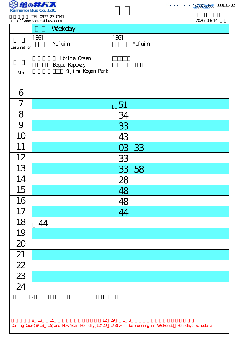

http://www.kamenoibus.com/

2020/03/14 TEL 0977-23-0141

|                                                                                                                                          | Weekday                                            |          |  |  |
|------------------------------------------------------------------------------------------------------------------------------------------|----------------------------------------------------|----------|--|--|
|                                                                                                                                          | [36]                                               | $[36]$   |  |  |
| Desti nati on                                                                                                                            | Yuf ui n                                           | Yuf ui n |  |  |
| Vi a                                                                                                                                     | Horita Onsen<br>Beppu Ropevay<br>Kijima Kogen Park |          |  |  |
| 6                                                                                                                                        |                                                    |          |  |  |
| 7                                                                                                                                        |                                                    | 51       |  |  |
| 8                                                                                                                                        |                                                    | 34       |  |  |
| 9                                                                                                                                        |                                                    | 33       |  |  |
| 10                                                                                                                                       |                                                    | 43       |  |  |
| 11                                                                                                                                       |                                                    | 03 33    |  |  |
| 12                                                                                                                                       |                                                    | 33       |  |  |
| 13                                                                                                                                       |                                                    | 33 58    |  |  |
| 14                                                                                                                                       |                                                    | 28       |  |  |
| 15                                                                                                                                       |                                                    | 48       |  |  |
| 16                                                                                                                                       |                                                    | 48       |  |  |
| 17                                                                                                                                       |                                                    | 44       |  |  |
| 18                                                                                                                                       | 44                                                 |          |  |  |
| 19                                                                                                                                       |                                                    |          |  |  |
| 20                                                                                                                                       |                                                    |          |  |  |
| 21                                                                                                                                       |                                                    |          |  |  |
|                                                                                                                                          |                                                    |          |  |  |
| $\frac{22}{23}$ $\frac{23}{24}$                                                                                                          |                                                    |          |  |  |
|                                                                                                                                          |                                                    |          |  |  |
| $\mathbb{C}^{\times}$<br>$\ddot{\cdot}$                                                                                                  |                                                    |          |  |  |
|                                                                                                                                          |                                                    |          |  |  |
| $1 \quad 3$<br>8 13<br>12 29<br>15<br>During Cbon(8/13 15) and New Year Holiday(12/29 1/3) will be running in Weekends Holidays Schedule |                                                    |          |  |  |
|                                                                                                                                          |                                                    |          |  |  |